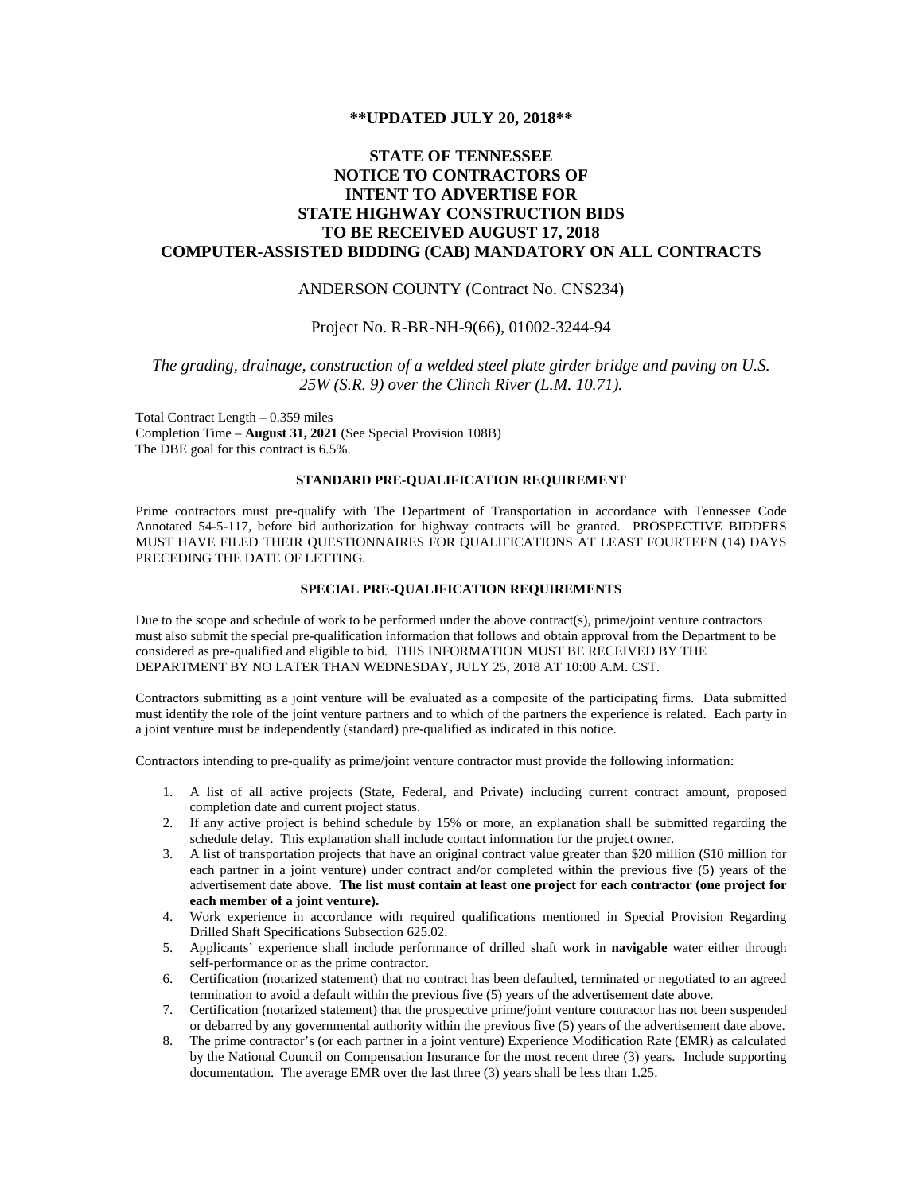#### **\*\*UPDATED JULY 20, 2018\*\***

# **STATE OF TENNESSEE NOTICE TO CONTRACTORS OF INTENT TO ADVERTISE FOR STATE HIGHWAY CONSTRUCTION BIDS TO BE RECEIVED AUGUST 17, 2018 COMPUTER-ASSISTED BIDDING (CAB) MANDATORY ON ALL CONTRACTS**

# ANDERSON COUNTY (Contract No. CNS234)

#### Project No. R-BR-NH-9(66), 01002-3244-94

# *The grading, drainage, construction of a welded steel plate girder bridge and paving on U.S. 25W (S.R. 9) over the Clinch River (L.M. 10.71).*

Total Contract Length – 0.359 miles Completion Time – **August 31, 2021** (See Special Provision 108B) The DBE goal for this contract is 6.5%.

### **STANDARD PRE-QUALIFICATION REQUIREMENT**

Prime contractors must pre-qualify with The Department of Transportation in accordance with Tennessee Code Annotated 54-5-117, before bid authorization for highway contracts will be granted. PROSPECTIVE BIDDERS MUST HAVE FILED THEIR QUESTIONNAIRES FOR QUALIFICATIONS AT LEAST FOURTEEN (14) DAYS PRECEDING THE DATE OF LETTING.

# **SPECIAL PRE-QUALIFICATION REQUIREMENTS**

Due to the scope and schedule of work to be performed under the above contract(s), prime/joint venture contractors must also submit the special pre-qualification information that follows and obtain approval from the Department to be considered as pre-qualified and eligible to bid. THIS INFORMATION MUST BE RECEIVED BY THE DEPARTMENT BY NO LATER THAN WEDNESDAY, JULY 25, 2018 AT 10:00 A.M. CST.

Contractors submitting as a joint venture will be evaluated as a composite of the participating firms. Data submitted must identify the role of the joint venture partners and to which of the partners the experience is related. Each party in a joint venture must be independently (standard) pre-qualified as indicated in this notice.

Contractors intending to pre-qualify as prime/joint venture contractor must provide the following information:

- 1. A list of all active projects (State, Federal, and Private) including current contract amount, proposed completion date and current project status.
- 2. If any active project is behind schedule by 15% or more, an explanation shall be submitted regarding the schedule delay. This explanation shall include contact information for the project owner.
- 3. A list of transportation projects that have an original contract value greater than \$20 million (\$10 million for each partner in a joint venture) under contract and/or completed within the previous five (5) years of the advertisement date above. **The list must contain at least one project for each contractor (one project for each member of a joint venture).**
- 4. Work experience in accordance with required qualifications mentioned in Special Provision Regarding Drilled Shaft Specifications Subsection 625.02.
- 5. Applicants' experience shall include performance of drilled shaft work in **navigable** water either through self-performance or as the prime contractor.
- 6. Certification (notarized statement) that no contract has been defaulted, terminated or negotiated to an agreed termination to avoid a default within the previous five (5) years of the advertisement date above.
- 7. Certification (notarized statement) that the prospective prime/joint venture contractor has not been suspended or debarred by any governmental authority within the previous five (5) years of the advertisement date above.
- 8. The prime contractor's (or each partner in a joint venture) Experience Modification Rate (EMR) as calculated by the National Council on Compensation Insurance for the most recent three (3) years. Include supporting documentation. The average EMR over the last three (3) years shall be less than 1.25.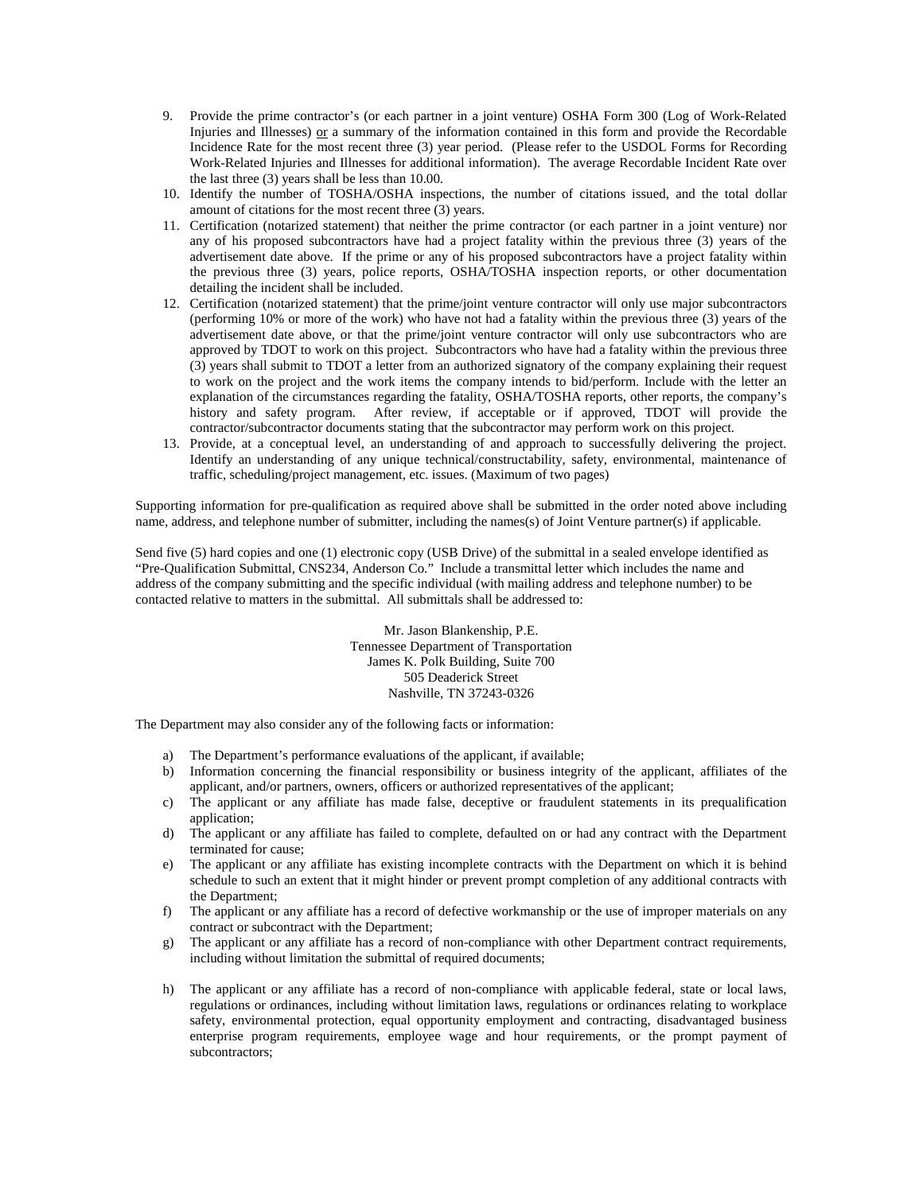- 9. Provide the prime contractor's (or each partner in a joint venture) OSHA Form 300 (Log of Work-Related Injuries and Illnesses) or a summary of the information contained in this form and provide the Recordable Incidence Rate for the most recent three (3) year period. (Please refer to the USDOL Forms for Recording Work-Related Injuries and Illnesses for additional information). The average Recordable Incident Rate over the last three (3) years shall be less than 10.00.
- 10. Identify the number of TOSHA/OSHA inspections, the number of citations issued, and the total dollar amount of citations for the most recent three (3) years.
- 11. Certification (notarized statement) that neither the prime contractor (or each partner in a joint venture) nor any of his proposed subcontractors have had a project fatality within the previous three (3) years of the advertisement date above. If the prime or any of his proposed subcontractors have a project fatality within the previous three (3) years, police reports, OSHA/TOSHA inspection reports, or other documentation detailing the incident shall be included.
- 12. Certification (notarized statement) that the prime/joint venture contractor will only use major subcontractors (performing 10% or more of the work) who have not had a fatality within the previous three (3) years of the advertisement date above, or that the prime/joint venture contractor will only use subcontractors who are approved by TDOT to work on this project. Subcontractors who have had a fatality within the previous three (3) years shall submit to TDOT a letter from an authorized signatory of the company explaining their request to work on the project and the work items the company intends to bid/perform. Include with the letter an explanation of the circumstances regarding the fatality, OSHA/TOSHA reports, other reports, the company's history and safety program. After review, if acceptable or if approved, TDOT will provide the contractor/subcontractor documents stating that the subcontractor may perform work on this project.
- 13. Provide, at a conceptual level, an understanding of and approach to successfully delivering the project. Identify an understanding of any unique technical/constructability, safety, environmental, maintenance of traffic, scheduling/project management, etc. issues. (Maximum of two pages)

Supporting information for pre-qualification as required above shall be submitted in the order noted above including name, address, and telephone number of submitter, including the names(s) of Joint Venture partner(s) if applicable.

Send five (5) hard copies and one (1) electronic copy (USB Drive) of the submittal in a sealed envelope identified as "Pre-Qualification Submittal, CNS234, Anderson Co." Include a transmittal letter which includes the name and address of the company submitting and the specific individual (with mailing address and telephone number) to be contacted relative to matters in the submittal. All submittals shall be addressed to:

> Mr. Jason Blankenship, P.E. Tennessee Department of Transportation James K. Polk Building, Suite 700 505 Deaderick Street Nashville, TN 37243-0326

The Department may also consider any of the following facts or information:

- a) The Department's performance evaluations of the applicant, if available;
- b) Information concerning the financial responsibility or business integrity of the applicant, affiliates of the applicant, and/or partners, owners, officers or authorized representatives of the applicant;
- c) The applicant or any affiliate has made false, deceptive or fraudulent statements in its prequalification application;
- d) The applicant or any affiliate has failed to complete, defaulted on or had any contract with the Department terminated for cause;
- e) The applicant or any affiliate has existing incomplete contracts with the Department on which it is behind schedule to such an extent that it might hinder or prevent prompt completion of any additional contracts with the Department;
- f) The applicant or any affiliate has a record of defective workmanship or the use of improper materials on any contract or subcontract with the Department;
- g) The applicant or any affiliate has a record of non-compliance with other Department contract requirements, including without limitation the submittal of required documents;
- h) The applicant or any affiliate has a record of non-compliance with applicable federal, state or local laws, regulations or ordinances, including without limitation laws, regulations or ordinances relating to workplace safety, environmental protection, equal opportunity employment and contracting, disadvantaged business enterprise program requirements, employee wage and hour requirements, or the prompt payment of subcontractors;